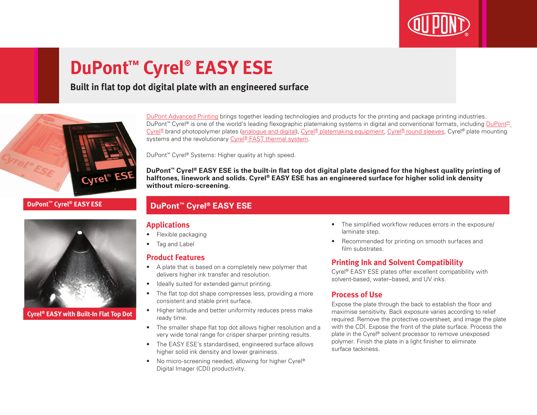

# **DuPont™ Cyrel® EASY ESE**

## **Built in flat top dot digital plate with an engineered surface**



#### **DuPont™ Cyrel® EASY ESE**



**Cyrel® EASY with Built-In Flat Top Dot**

[DuPont Advanced Printing](http://www.dupont.co.uk/products-and-services/printing-package-printing.html) brings together leading technologies and products for the printing and package printing industries. DuPont<sup>™</sup> Cyrel® is one of the world's leading flexographic platemaking systems in digital and conventional formats, including DuPont<sup>™</sup> [Cyrel®](http://www.dupont.co.uk/products-and-services/printing-package-printing/flexographic-platemaking-systems/brands/cyrel.html) brand photopolymer plates ([analogue and digital](http://www.dupont.co.uk/products-and-services/printing-package-printing/flexographic-platemaking-systems/brands/cyrel/products/cyrel-flexo-plates.html)), [Cyrel® platemaking equipment](http://www.dupont.co.uk/products-and-services/printing-package-printing/flexographic-platemaking-systems/brands/cyrel/products/cyrel-platemaking-equipment.html), [Cyrel® round sleeves](http://www.dupont.co.uk/products-and-services/printing-package-printing/flexographic-platemaking-systems/brands/cyrel/products/cyrel-round-systems.html), Cyrel® plate mounting systems and the revolutionary [Cyrel® FAST thermal system](http://www.dupont.co.uk/products-and-services/printing-package-printing/flexographic-platemaking-systems/brands/cyrel/products/cyrel-FAST-thermal-workflow.html).

DuPont™ Cyrel® Systems: Higher quality at high speed.

**DuPont™ Cyrel® EASY ESE is the built-in flat top dot digital plate designed for the highest quality printing of halftones, linework and solids. Cyrel® EASY ESE has an engineered surface for higher solid ink density without micro-screening.**

### **DuPont™ Cyrel® EASY ESE**

#### **Applications**

- Flexible packaging
- Tag and Label

#### **Product Features**

- A plate that is based on a completely new polymer that delivers higher ink transfer and resolution.
- Ideally suited for extended gamut printing.
- The flat top dot shape compresses less, providing a more consistent and stable print surface.
- Higher latitude and better uniformity reduces press make ready time.
- The smaller shape flat top dot allows higher resolution and a very wide tonal range for crisper sharper printing results.
- The EASY ESE's standardised, engineered surface allows higher solid ink density and lower graininess.
- No micro-screening needed, allowing for higher Cyrel<sup>®</sup> Digital Imager (CDI) productivity.
- The simplified workflow reduces errors in the exposure/ laminate step.
- Recommended for printing on smooth surfaces and film substrates.

#### **Printing Ink and Solvent Compatibility**

Cyrel® EASY ESE plates offer excellent compatibility with solvent-based, water–based, and UV inks.

#### **Process of Use**

Expose the plate through the back to establish the floor and maximise sensitivity. Back exposure varies according to relief required. Remove the protective coversheet, and image the plate with the CDI. Expose the front of the plate surface. Process the plate in the Cyrel® solvent processor to remove unexposed polymer. Finish the plate in a light finisher to eliminate surface tackiness.